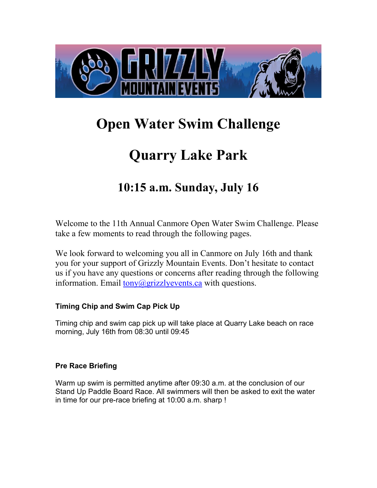

# **Open Water Swim Challenge**

# **Quarry Lake Park**

# **10:15 a.m. Sunday, July 16**

Welcome to the 11th Annual Canmore Open Water Swim Challenge. Please take a few moments to read through the following pages.

We look forward to welcoming you all in Canmore on July 16th and thank you for your support of Grizzly Mountain Events. Don't hesitate to contact us if you have any questions or concerns after reading through the following information. Email  $\frac{\text{tony}(a)}{\text{grizz}}$  vevents.ca with questions.

# **Timing Chip and Swim Cap Pick Up**

Timing chip and swim cap pick up will take place at Quarry Lake beach on race morning, July 16th from 08:30 until 09:45

# **Pre Race Briefing**

Warm up swim is permitted anytime after 09:30 a.m. at the conclusion of our Stand Up Paddle Board Race. All swimmers will then be asked to exit the water in time for our pre-race briefing at 10:00 a.m. sharp !